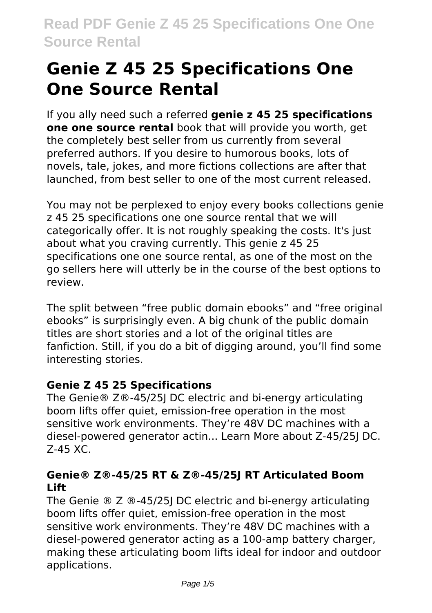# **Genie Z 45 25 Specifications One One Source Rental**

If you ally need such a referred **genie z 45 25 specifications one one source rental** book that will provide you worth, get the completely best seller from us currently from several preferred authors. If you desire to humorous books, lots of novels, tale, jokes, and more fictions collections are after that launched, from best seller to one of the most current released.

You may not be perplexed to enjoy every books collections genie z 45 25 specifications one one source rental that we will categorically offer. It is not roughly speaking the costs. It's just about what you craving currently. This genie z 45 25 specifications one one source rental, as one of the most on the go sellers here will utterly be in the course of the best options to review.

The split between "free public domain ebooks" and "free original ebooks" is surprisingly even. A big chunk of the public domain titles are short stories and a lot of the original titles are fanfiction. Still, if you do a bit of digging around, you'll find some interesting stories.

# **Genie Z 45 25 Specifications**

The Genie® Z®-45/25J DC electric and bi-energy articulating boom lifts offer quiet, emission-free operation in the most sensitive work environments. They're 48V DC machines with a diesel-powered generator actin... Learn More about Z-45/25J DC. Z-45 XC.

# **Genie® Z®-45/25 RT & Z®-45/25J RT Articulated Boom Lift**

The Genie ® Z ®-45/25J DC electric and bi-energy articulating boom lifts offer quiet, emission-free operation in the most sensitive work environments. They're 48V DC machines with a diesel-powered generator acting as a 100-amp battery charger, making these articulating boom lifts ideal for indoor and outdoor applications.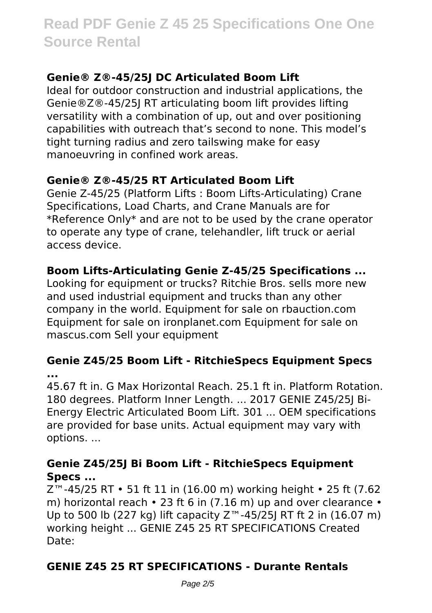# **Genie® Z®-45/25J DC Articulated Boom Lift**

Ideal for outdoor construction and industrial applications, the Genie®Z®-45/25J RT articulating boom lift provides lifting versatility with a combination of up, out and over positioning capabilities with outreach that's second to none. This model's tight turning radius and zero tailswing make for easy manoeuvring in confined work areas.

# **Genie® Z®-45/25 RT Articulated Boom Lift**

Genie Z-45/25 (Platform Lifts : Boom Lifts-Articulating) Crane Specifications, Load Charts, and Crane Manuals are for \*Reference Only\* and are not to be used by the crane operator to operate any type of crane, telehandler, lift truck or aerial access device.

# **Boom Lifts-Articulating Genie Z-45/25 Specifications ...**

Looking for equipment or trucks? Ritchie Bros. sells more new and used industrial equipment and trucks than any other company in the world. Equipment for sale on rbauction.com Equipment for sale on ironplanet.com Equipment for sale on mascus.com Sell your equipment

#### **Genie Z45/25 Boom Lift - RitchieSpecs Equipment Specs ...**

45.67 ft in. G Max Horizontal Reach. 25.1 ft in. Platform Rotation. 180 degrees. Platform Inner Length. ... 2017 GENIE Z45/25J Bi-Energy Electric Articulated Boom Lift. 301 ... OEM specifications are provided for base units. Actual equipment may vary with options. ...

# **Genie Z45/25J Bi Boom Lift - RitchieSpecs Equipment Specs ...**

Z™-45/25 RT • 51 ft 11 in (16.00 m) working height • 25 ft (7.62 m) horizontal reach • 23 ft 6 in (7.16 m) up and over clearance • Up to 500 lb (227 kg) lift capacity Z™-45/25J RT ft 2 in (16.07 m) working height ... GENIE Z45 25 RT SPECIFICATIONS Created Date:

# **GENIE Z45 25 RT SPECIFICATIONS - Durante Rentals**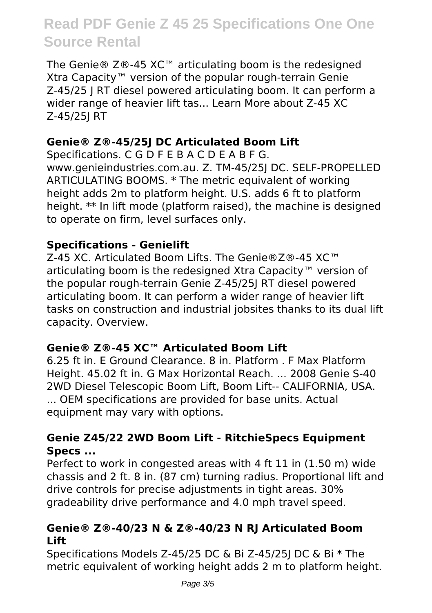The Genie® Z®-45 XC™ articulating boom is the redesigned Xtra Capacity™ version of the popular rough-terrain Genie Z-45/25 J RT diesel powered articulating boom. It can perform a wider range of heavier lift tas... Learn More about Z-45 XC Z-45/25J RT

# **Genie® Z®-45/25J DC Articulated Boom Lift**

Specifications. C G D F E B A C D E A B F G. www.genieindustries.com.au. Z. TM-45/25J DC. SELF-PROPELLED ARTICULATING BOOMS. \* The metric equivalent of working height adds 2m to platform height. U.S. adds 6 ft to platform height. \*\* In lift mode (platform raised), the machine is designed to operate on firm, level surfaces only.

# **Specifications - Genielift**

Z-45 XC. Articulated Boom Lifts. The Genie®Z®-45 XC™ articulating boom is the redesigned Xtra Capacity™ version of the popular rough-terrain Genie Z-45/25J RT diesel powered articulating boom. It can perform a wider range of heavier lift tasks on construction and industrial jobsites thanks to its dual lift capacity. Overview.

# **Genie® Z®-45 XC™ Articulated Boom Lift**

6.25 ft in. E Ground Clearance. 8 in. Platform . F Max Platform Height. 45.02 ft in. G Max Horizontal Reach. ... 2008 Genie S-40 2WD Diesel Telescopic Boom Lift, Boom Lift-- CALIFORNIA, USA. ... OEM specifications are provided for base units. Actual equipment may vary with options.

# **Genie Z45/22 2WD Boom Lift - RitchieSpecs Equipment Specs ...**

Perfect to work in congested areas with 4 ft 11 in (1.50 m) wide chassis and 2 ft. 8 in. (87 cm) turning radius. Proportional lift and drive controls for precise adjustments in tight areas. 30% gradeability drive performance and 4.0 mph travel speed.

#### **Genie® Z®-40/23 N & Z®-40/23 N RJ Articulated Boom Lift**

Specifications Models Z-45/25 DC & Bi Z-45/25J DC & Bi \* The metric equivalent of working height adds 2 m to platform height.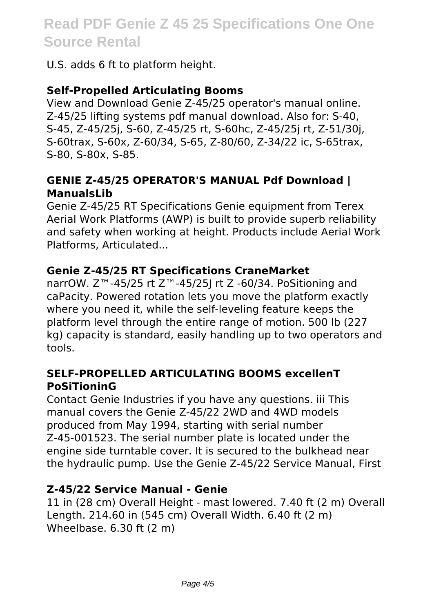U.S. adds 6 ft to platform height.

### **Self-Propelled Articulating Booms**

View and Download Genie Z-45/25 operator's manual online. Z-45/25 lifting systems pdf manual download. Also for: S-40, S-45, Z-45/25j, S-60, Z-45/25 rt, S-60hc, Z-45/25j rt, Z-51/30j, S-60trax, S-60x, Z-60/34, S-65, Z-80/60, Z-34/22 ic, S-65trax, S-80, S-80x, S-85.

#### **GENIE Z-45/25 OPERATOR'S MANUAL Pdf Download | ManualsLib**

Genie Z-45/25 RT Specifications Genie equipment from Terex Aerial Work Platforms (AWP) is built to provide superb reliability and safety when working at height. Products include Aerial Work Platforms, Articulated...

#### **Genie Z-45/25 RT Specifications CraneMarket**

narrOW. Z™-45/25 rt Z™-45/25J rt Z -60/34. PoSitioning and caPacity. Powered rotation lets you move the platform exactly where you need it, while the self-leveling feature keeps the platform level through the entire range of motion. 500 lb (227 kg) capacity is standard, easily handling up to two operators and tools.

#### **SELF-PROPELLED ARTICULATING BOOMS excellenT PoSiTioninG**

Contact Genie Industries if you have any questions. iii This manual covers the Genie Z-45/22 2WD and 4WD models produced from May 1994, starting with serial number Z-45-001523. The serial number plate is located under the engine side turntable cover. It is secured to the bulkhead near the hydraulic pump. Use the Genie Z-45/22 Service Manual, First

#### **Z-45/22 Service Manual - Genie**

11 in (28 cm) Overall Height - mast lowered. 7.40 ft (2 m) Overall Length. 214.60 in (545 cm) Overall Width. 6.40 ft (2 m) Wheelbase. 6.30 ft (2 m)